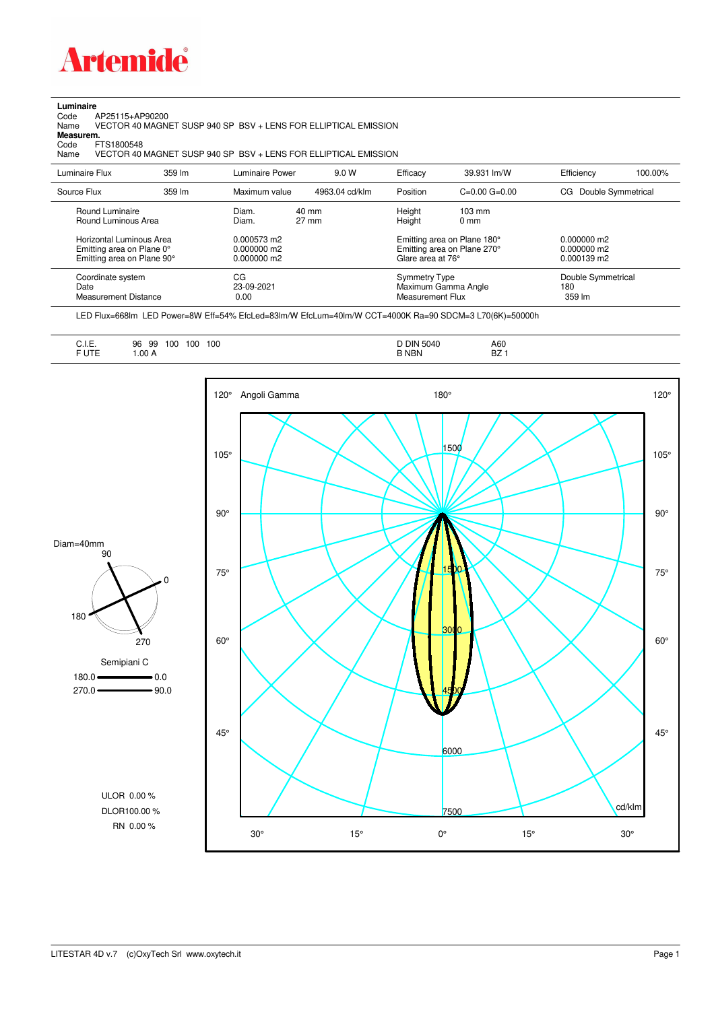

**Luminaire**<br>Code /<br>Name Code AP25115+AP90200 Name VECTOR 40 MAGNET SUSP 940 SP BSV + LENS FOR ELLIPTICAL EMISSION **Measurem.**

Code FTS1800548<br>Name VECTOR 40 VECTOR 40 MAGNET SUSP 940 SP BSV + LENS FOR ELLIPTICAL EMISSION

| Luminaire Flux                                                                                                                | 359 lm | Luminaire Power                                                 | 9.0 W                    | Efficacy                                 | 39.931 lm/W                                                                                      | Efficiency                                             | 100.00% |
|-------------------------------------------------------------------------------------------------------------------------------|--------|-----------------------------------------------------------------|--------------------------|------------------------------------------|--------------------------------------------------------------------------------------------------|--------------------------------------------------------|---------|
| Source Flux                                                                                                                   | 359 lm | Maximum value                                                   | 4963.04 cd/klm           | Position                                 | $C=0.00$ $G=0.00$                                                                                | Double Symmetrical<br>CG                               |         |
| Round Luminaire<br>Round Luminous Area<br>Horizontal Luminous Area<br>Emitting area on Plane 0°<br>Emitting area on Plane 90° |        | Diam.<br>Diam.<br>0.000573 m2<br>$0.000000$ m2<br>$0.000000$ m2 | 40 mm<br>$27 \text{ mm}$ | Height<br>Height<br>Glare area at 76°    | $103 \text{ mm}$<br>$0 \text{ mm}$<br>Emitting area on Plane 180°<br>Emitting area on Plane 270° | $0.000000$ m2<br>$0.000000$ m2<br>$0.000139 \text{ m}$ |         |
| Coordinate system<br>Date<br><b>Measurement Distance</b>                                                                      |        | CG<br>23-09-2021<br>0.00                                        |                          | <b>Symmetry Type</b><br>Measurement Flux | Maximum Gamma Angle                                                                              | Double Symmetrical<br>180<br>359 lm                    |         |

LED Flux=668lm LED Power=8W Eff=54% EfcLed=83lm/W EfcLum=40lm/W CCT=4000K Ra=90 SDCM=3 L70(6K)=50000h

| F UTE<br><b>BZ</b><br><b>B NBN</b><br>.00A<br>______ |
|------------------------------------------------------|
|------------------------------------------------------|